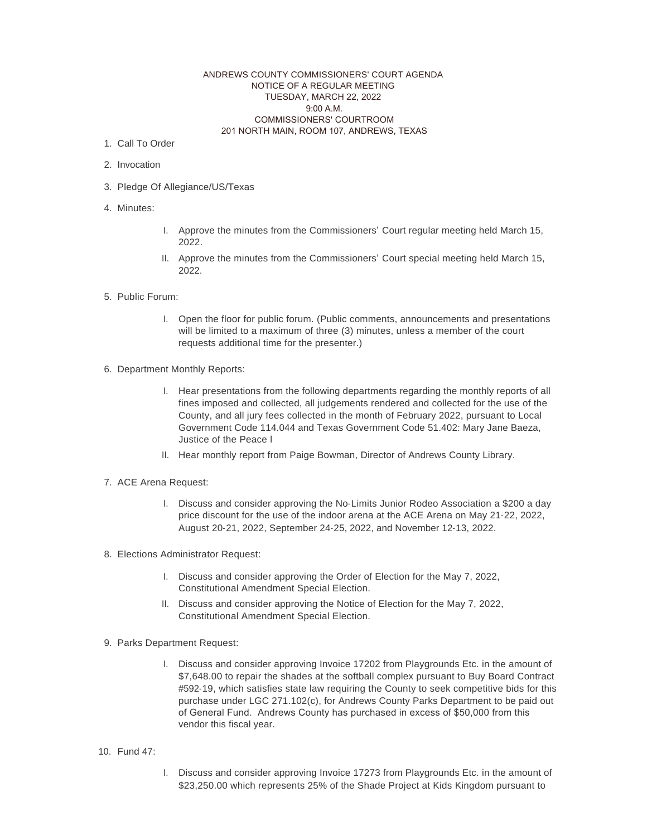## ANDREWS COUNTY COMMISSIONERS' COURT AGENDA NOTICE OF A REGULAR MEETING TUESDAY, MARCH 22, 2022 9:00 A.M. COMMISSIONERS' COURTROOM 201 NORTH MAIN, ROOM 107, ANDREWS, TEXAS

- 1. Call To Order
- 2. Invocation
- 3. Pledge Of Allegiance/US/Texas
- 4. Minutes:
- I. Approve the minutes from the Commissioners' Court regular meeting held March 15, 2022.
- II. Approve the minutes from the Commissioners' Court special meeting held March 15, 2022.
- 5. Public Forum:
	- I. Open the floor for public forum. (Public comments, announcements and presentations will be limited to a maximum of three (3) minutes, unless a member of the court requests additional time for the presenter.)
- 6. Department Monthly Reports:
	- I. Hear presentations from the following departments regarding the monthly reports of all fines imposed and collected, all judgements rendered and collected for the use of the County, and all jury fees collected in the month of February 2022, pursuant to Local Government Code 114.044 and Texas Government Code 51.402: Mary Jane Baeza, Justice of the Peace l
	- II. Hear monthly report from Paige Bowman, Director of Andrews County Library.
- 7. ACE Arena Request:
	- I. Discuss and consider approving the No-Limits Junior Rodeo Association a \$200 a day price discount for the use of the indoor arena at the ACE Arena on May 21-22, 2022, August 20-21, 2022, September 24-25, 2022, and November 12-13, 2022.
- 8. Elections Administrator Request:
	- I. Discuss and consider approving the Order of Election for the May 7, 2022, Constitutional Amendment Special Election.
	- II. Discuss and consider approving the Notice of Election for the May 7, 2022, Constitutional Amendment Special Election.
- 9. Parks Department Request:
	- I. Discuss and consider approving Invoice 17202 from Playgrounds Etc. in the amount of \$7,648.00 to repair the shades at the softball complex pursuant to Buy Board Contract #592-19, which satisfies state law requiring the County to seek competitive bids for this purchase under LGC 271.102(c), for Andrews County Parks Department to be paid out of General Fund. Andrews County has purchased in excess of \$50,000 from this vendor this fiscal year.
- 10. Fund 47:
- I. Discuss and consider approving Invoice 17273 from Playgrounds Etc. in the amount of \$23,250.00 which represents 25% of the Shade Project at Kids Kingdom pursuant to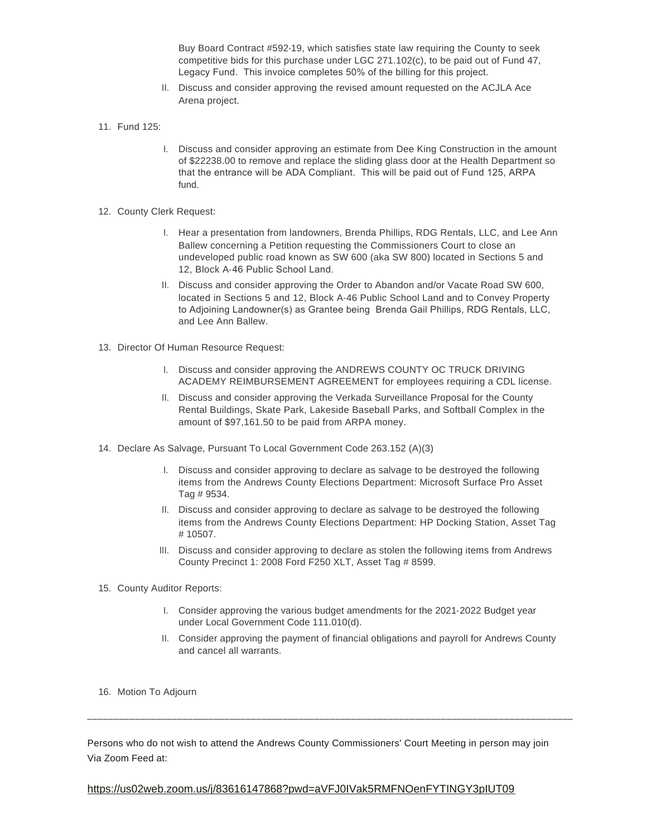Buy Board Contract #592-19, which satisfies state law requiring the County to seek competitive bids for this purchase under LGC 271.102(c), to be paid out of Fund 47, Legacy Fund. This invoice completes 50% of the billing for this project.

- II. Discuss and consider approving the revised amount requested on the ACJLA Ace Arena project.
- 11. Fund 125:
	- I. Discuss and consider approving an estimate from Dee King Construction in the amount of \$22238.00 to remove and replace the sliding glass door at the Health Department so that the entrance will be ADA Compliant. This will be paid out of Fund 125, ARPA fund.
- 12. County Clerk Request:
	- I. Hear a presentation from landowners, Brenda Phillips, RDG Rentals, LLC, and Lee Ann Ballew concerning a Petition requesting the Commissioners Court to close an undeveloped public road known as SW 600 (aka SW 800) located in Sections 5 and 12, Block A-46 Public School Land.
	- II. Discuss and consider approving the Order to Abandon and/or Vacate Road SW 600, located in Sections 5 and 12, Block A-46 Public School Land and to Convey Property to Adjoining Landowner(s) as Grantee being Brenda Gail Phillips, RDG Rentals, LLC, and Lee Ann Ballew.
- 13. Director Of Human Resource Request:
	- I. Discuss and consider approving the ANDREWS COUNTY OC TRUCK DRIVING ACADEMY REIMBURSEMENT AGREEMENT for employees requiring a CDL license.
	- II. Discuss and consider approving the Verkada Surveillance Proposal for the County Rental Buildings, Skate Park, Lakeside Baseball Parks, and Softball Complex in the amount of \$97,161.50 to be paid from ARPA money.
- 14. Declare As Salvage, Pursuant To Local Government Code 263.152 (A)(3)
	- I. Discuss and consider approving to declare as salvage to be destroyed the following items from the Andrews County Elections Department: Microsoft Surface Pro Asset Tag # 9534.
	- II. Discuss and consider approving to declare as salvage to be destroyed the following items from the Andrews County Elections Department: HP Docking Station, Asset Tag # 10507.
	- III. Discuss and consider approving to declare as stolen the following items from Andrews County Precinct 1: 2008 Ford F250 XLT, Asset Tag # 8599.
- 15. County Auditor Reports:
	- I. Consider approving the various budget amendments for the 2021-2022 Budget year under Local Government Code 111.010(d).
	- II. Consider approving the payment of financial obligations and payroll for Andrews County and cancel all warrants.
- 16. Motion To Adjourn

Persons who do not wish to attend the Andrews County Commissioners' Court Meeting in person may join Via Zoom Feed at:

\_\_\_\_\_\_\_\_\_\_\_\_\_\_\_\_\_\_\_\_\_\_\_\_\_\_\_\_\_\_\_\_\_\_\_\_\_\_\_\_\_\_\_\_\_\_\_\_\_\_\_\_\_\_\_\_\_\_\_\_\_\_\_\_\_\_\_\_\_\_\_\_\_\_\_\_\_\_\_\_\_\_\_\_\_\_\_\_\_\_\_\_

## https://us02web.zoom.us/j/83616147868?pwd=aVFJ0IVak5RMFNOenFYTINGY3pIUT09